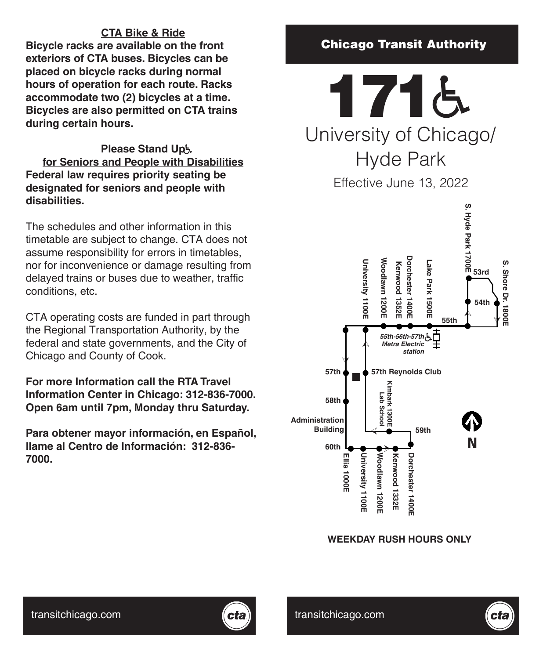# **CTA Bike & Ride**

**Bicycle racks are available on the front exteriors of CTA buses. Bicycles can be placed on bicycle racks during normal hours of operation for each route. Racks accommodate two (2) bicycles at a time. Bicycles are also permitted on CTA trains during certain hours.**

# **Please Stand Up**

**for Seniors and People with Disabilities Federal law requires priority seating be designated for seniors and people with disabilities.**

The schedules and other information in this timetable are subject to change. CTA does not assume responsibility for errors in timetables, nor for inconvenience or damage resulting from delayed trains or buses due to weather, traffic conditions, etc.

CTA operating costs are funded in part through the Regional Transportation Authority, by the federal and state governments, and the City of Chicago and County of Cook.

**For more Information call the RTA Travel Information Center in Chicago: 312-836-7000. Open 6am until 7pm, Monday thru Saturday.**

**Para obtener mayor información, en Español, llame al Centro de Información: 312-836- 7000.**

# Chicago Transit Authority

University of Chicago/ Hyde Park 1716

Effective June 13, 2022